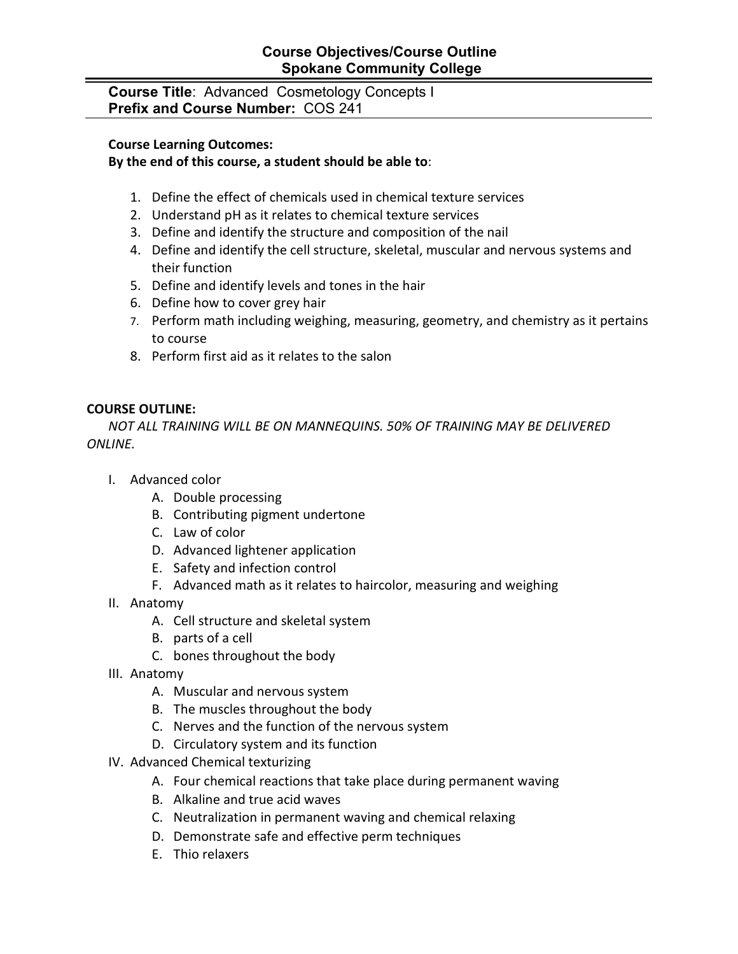### **Course Objectives/Course Outline Spokane Community College**

**Course Title**: Advanced Cosmetology Concepts I **Prefix and Course Number:** COS 241

#### **Course Learning Outcomes:**

### **By the end of this course, a student should be able to**:

- 1. Define the effect of chemicals used in chemical texture services
- 2. Understand pH as it relates to chemical texture services
- 3. Define and identify the structure and composition of the nail
- 4. Define and identify the cell structure, skeletal, muscular and nervous systems and their function
- 5. Define and identify levels and tones in the hair
- 6. Define how to cover grey hair
- 7. Perform math including weighing, measuring, geometry, and chemistry as it pertains to course
- 8. Perform first aid as it relates to the salon

### **COURSE OUTLINE:**

*NOT ALL TRAINING WILL BE ON MANNEQUINS. 50% OF TRAINING MAY BE DELIVERED ONLINE.*

- I. Advanced color
	- A. Double processing
	- B. Contributing pigment undertone
	- C. Law of color
	- D. Advanced lightener application
	- E. Safety and infection control
	- F. Advanced math as it relates to haircolor, measuring and weighing
- II. Anatomy
	- A. Cell structure and skeletal system
	- B. parts of a cell
	- C. bones throughout the body
- III. Anatomy
	- A. Muscular and nervous system
	- B. The muscles throughout the body
	- C. Nerves and the function of the nervous system
	- D. Circulatory system and its function
- IV. Advanced Chemical texturizing
	- A. Four chemical reactions that take place during permanent waving
	- B. Alkaline and true acid waves
	- C. Neutralization in permanent waving and chemical relaxing
	- D. Demonstrate safe and effective perm techniques
	- E. Thio relaxers